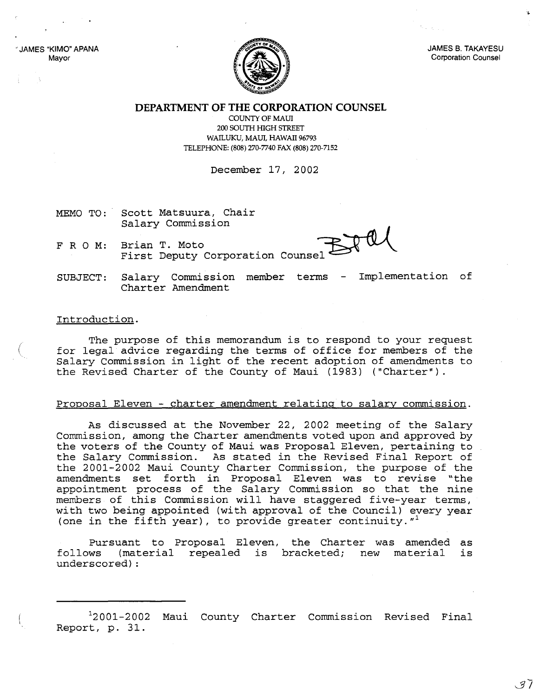JAMES "KIMO" APANA Mayor



JAMES B. TAKAYESU Corporation Counsel

**DEPARTMENT OF THE CORPORATION COUNSEL**

COUNTY OF MAUl 200 SOUTH HIGH STREET WAILUKU, MAUl, HAWAII 96793 TELEPHONE: (808) 270-7740 FAX (808) 270-7152

December 17, 2002

- MEMO TO: Scott Matsuura, Chair Salary Commission
- FRO M: Brian T. Moto First Deputy Corporation Counsel

SUBJECT: Salary Commission member terms - Implementation of Charter Amendment

## Introduction.

The purpose of this memorandum is to respond to your request for legal advice regarding the terms of office for members of the Salary Commission in light of the recent adoption of amendments to the Revised Charter of the County of Maui (1983) ("Charter").

## Proposal Eleven - charter amendment relating to salary commission.

As discussed at the November 22, 2002 meeting of the Salary Commission, among the Charter amendments voted upon and approved by the voters of the County of Maui was Proposal Eleven, pertaining to the Salary Commission. As stated in the Revised Final Report of the 2001-2002 Maui County Charter Commission, the purpose of the amendments set forth in Proposal Eleven was to revise "the appointment process of the Salary Commission so that the nine members of this Commission will have staggered five-year terms, with two being appointed (with approval of the Council) every year (one in the fifth year), to provide greater continuity.  $''^1$ 

Pursuant to Proposal Eleven, the Charter was amended as follows (material repealed is bracketed; new material underscored) : is

12001-2002 Maui County Charter Commission Revised Final Report, p. 31.

. 37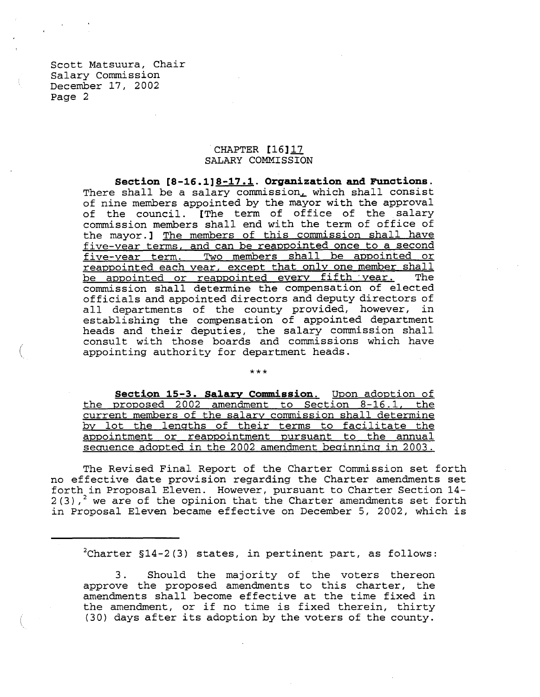Scott Matsuura, Chair Salary Commission December 17, 2002 Page 2

(

## CHAPTER [16]17 SALARY COMMISSION

**Section [8-16.1]8-17.1. Organization and Functions.** There shall be a salary commission, which shall consist of nine members appointed by the mayor with the approval of the council. [The term of office of the salary commission members shall end with the term of office of the mayor.] The members of this commission shall have five-year terms. and can be reappointed once to a second five-year term. Two members shall be appointed or reappointed each year. except that only one member shall <u>be appointed each year, except that only one moment that</u> commission shall determine the compensation of elected officials and appointed directors and deputy directors of officials and appointed directors and departy directors of<br>all departments of the county provided, however, in establishing the compensation of appointed department heads and their deputies, the salary commission shall consult with those boards and commissions which have appointing authority for department heads.

\*\*\* **Section 15-3. Salary Commission.** Upon adoption of the proposed 2002 amendment to Section 8-16.1. the current members of the salary commission shall determine by lot the lengths of their terms to facilitate the appointment or reappointment pursuant to the annual sequence adopted in the 2002 amendment beginning in 2003.

The Revised Final Report of the Charter Commission set forth no effective date provision regarding the Charter amendments set forth in Proposal Eleven. However, pursuant to Charter Section 14-  $2(3)$ ,<sup>2</sup> we are of the opinion that the Charter amendments set forth in Proposal Eleven became effective on December 5, 2002, which is

 $^{2}$ Charter §14-2(3) states, in pertinent part, as follows:

3. Should the majority of the voters thereon approve the proposed amendments to this charter, the amendments shall become effective at the time fixed in the amendment, or if no time is fixed therein, thirty (30) days after its adoption by the voters of the county.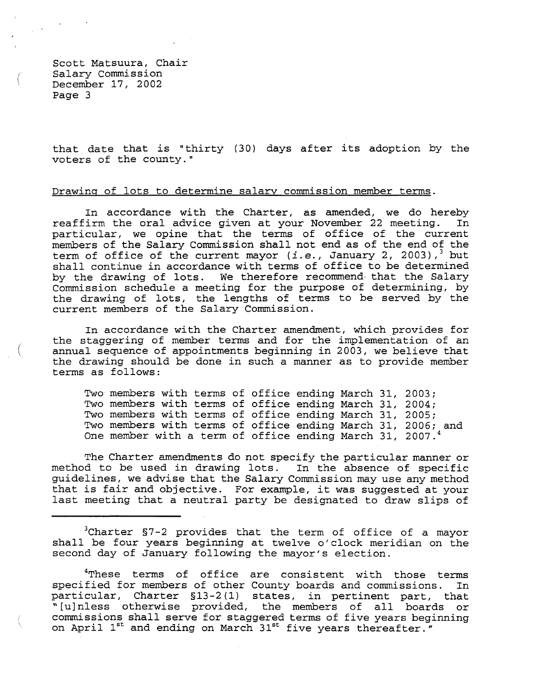Scott Matsuura, Chair Salary Commission \ December 17, 2002 Page 3

(

that date that is "thirty (30) days after its adoption by the voters of the county."

## Drawing of lots to determine salary commission member terms.

In accordance with the Charter, as amended, we do hereby reaffirm the oral advice given at your November <sup>22</sup> meeting. In particular, we opine that the terms of office of the current members of the Salary Commission shall not end as of the end of the term of office of the current mayor *(i.e., January 2, 2003)*,<sup>3</sup> but shall continue in accordance with terms of office to be determined by the drawing of lots. We therefore recommend- that the Salary Commission schedule a meeting for the purpose of determining, by the drawing of lots, the lengths of terms to be served by the current members of the Salary Commission.

In accordance with the Charter amendment, which provides for the staggering of member terms and for the implementation of an annual sequence of appointments beginning in 2003, we believe that the drawing should be done in such <sup>a</sup> manner as to provide member terms as follows:

Two members with terms of office ending March 31, 2003; Two members with terms of office ending March 31, 2004; Two members with terms of office ending March 31, 2005; Two members with terms of office ending March 31, 2006; and One member with a term of office ending March 31, 2007.

The Charter amendments do not specify the particular manner or method to be used in drawing lots. In the absence of specific guidelines, we advise that the Salary Commission may use any method that is fair and objective. For example, it was suggested at your last meeting that <sup>a</sup> neutral party be designated to draw slips of

<sup>3</sup>Charter §7-2 provides that the term of office of a mayor shall be four years beginning at twelve o'clock meridian on the second day of January following the mayor's election.

<sup>4</sup>These terms of office are consistent with those terms specified for members of other County boards and commissions. In particular, Charter §13-2(1) states, in pertinent part, that ~[u]nless otherwise provided, the members of all boards or commissions shall serve for staggered terms of five years beginning on April 1<sup>st</sup> and ending on March 31<sup>st</sup> five years thereafter."